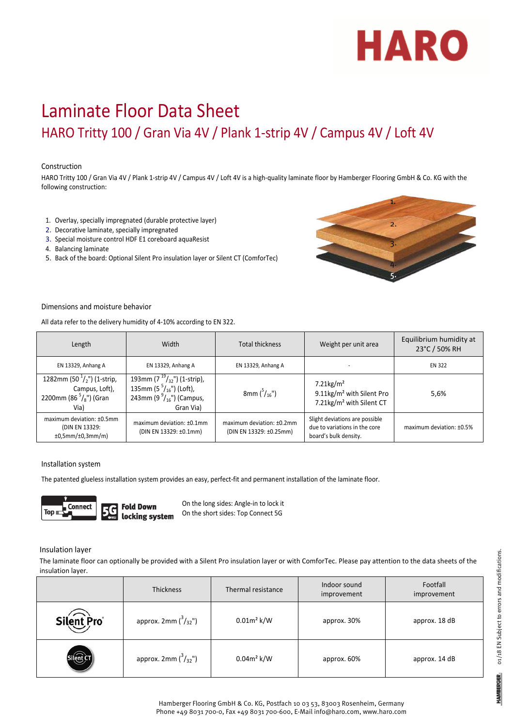

# Laminate Floor Data Sheet HARO Tritty 100 / Gran Via 4V / Plank 1‐strip 4V / Campus 4V / Loft 4V

## Construction

HARO Tritty 100 / Gran Via 4V / Plank 1-strip 4V / Campus 4V / Loft 4V is a high-quality laminate floor by Hamberger Flooring GmbH & Co. KG with the following construction:

- 1. Overlay, specially impregnated (durable protective layer)
- 2. Decorative laminate, specially impregnated
- 3. Special moisture control HDF E1 coreboard aquaResist
- 4. Balancing laminate
- 5. Back of the board: Optional Silent Pro insulation layer or Silent CT (ComforTec)



#### Dimensions and moisture behavior

All data refer to the delivery humidity of 4‐10% according to EN 322.

| Length                                                                                               | Width                                                                                                                | <b>Total thickness</b>                               | Weight per unit area                                                                                      | Equilibrium humidity at<br>23°C / 50% RH |
|------------------------------------------------------------------------------------------------------|----------------------------------------------------------------------------------------------------------------------|------------------------------------------------------|-----------------------------------------------------------------------------------------------------------|------------------------------------------|
| EN 13329, Anhang A                                                                                   | EN 13329, Anhang A                                                                                                   | EN 13329, Anhang A                                   |                                                                                                           | <b>EN 322</b>                            |
| 1282mm (50 $\frac{1}{2}$ ") (1-strip,<br>Campus, Loft),<br>2200mm (86 $\frac{5}{8}$ ") (Gran<br>Via) | 193mm (7 $19/32$ ") (1-strip),<br>135mm (5 $^{5}/_{16}$ ") (Loft),<br>243mm (9 $^{9}/_{16}$ ") (Campus,<br>Gran Via) | 8mm $\binom{5}{16}$ ")                               | $7.21$ kg/m <sup>2</sup><br>9.11kg/m <sup>2</sup> with Silent Pro<br>7.21kg/m <sup>2</sup> with Silent CT | 5,6%                                     |
| maximum deviation: ±0.5mm<br>(DIN EN 13329:<br>±0,5mm/±0,3mm/m)                                      | maximum deviation: ±0.1mm<br>(DIN EN 13329: ±0.1mm)                                                                  | maximum deviation: ±0.2mm<br>(DIN EN 13329: ±0.25mm) | Slight deviations are possible<br>due to variations in the core<br>board's bulk density.                  | maximum deviation: ±0.5%                 |

#### Installation system

The patented glueless installation system provides an easy, perfect-fit and permanent installation of the laminate floor.



**Fold Down** locking system On the long sides: Angle‐in to lock it On the short sides: Top Connect 5G

#### Insulation layer

The laminate floor can optionally be provided with a Silent Pro insulation layer or with ComforTec. Please pay attention to the data sheets of the insulation layer.

|            | <b>Thickness</b>               | Thermal resistance | Indoor sound<br>improvement | Footfall<br>improvement |
|------------|--------------------------------|--------------------|-----------------------------|-------------------------|
| Silent Pro | approx. 2mm $\binom{3}{32}$ ") | $0.01m^2$ k/W      | approx. 30%                 | approx. 18 dB           |
|            | approx. 2mm $\binom{3}{32}$ ") | $0.04m^2$ k/W      | approx. 60%                 | approx. 14 dB           |